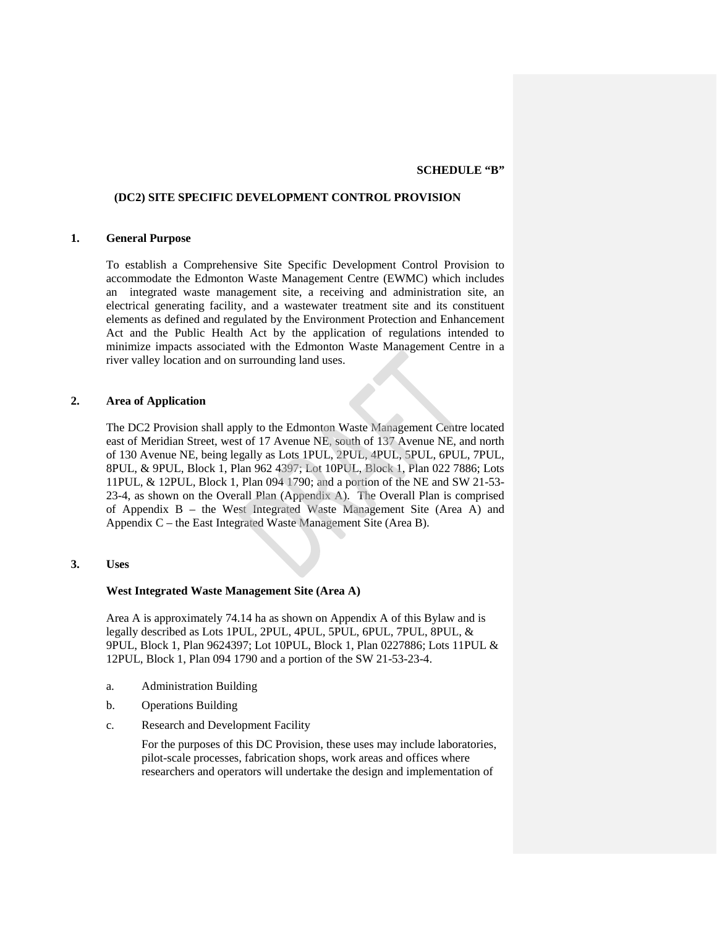### **SCHEDULE "B"**

## **(DC2) SITE SPECIFIC DEVELOPMENT CONTROL PROVISION**

# **1. General Purpose**

To establish a Comprehensive Site Specific Development Control Provision to accommodate the Edmonton Waste Management Centre (EWMC) which includes an integrated waste management site, a receiving and administration site, an electrical generating facility, and a wastewater treatment site and its constituent elements as defined and regulated by the Environment Protection and Enhancement Act and the Public Health Act by the application of regulations intended to minimize impacts associated with the Edmonton Waste Management Centre in a river valley location and on surrounding land uses.

# **2. Area of Application**

The DC2 Provision shall apply to the Edmonton Waste Management Centre located east of Meridian Street, west of 17 Avenue NE, south of 137 Avenue NE, and north of 130 Avenue NE, being legally as Lots 1PUL, 2PUL, 4PUL, 5PUL, 6PUL, 7PUL, 8PUL, & 9PUL, Block 1, Plan 962 4397; Lot 10PUL, Block 1, Plan 022 7886; Lots 11PUL, & 12PUL, Block 1, Plan 094 1790; and a portion of the NE and SW 21-53- 23-4, as shown on the Overall Plan (Appendix A). The Overall Plan is comprised of Appendix B – the West Integrated Waste Management Site (Area A) and Appendix C – the East Integrated Waste Management Site (Area B).

# **3. Uses**

## **West Integrated Waste Management Site (Area A)**

Area A is approximately 74.14 ha as shown on Appendix A of this Bylaw and is legally described as Lots 1PUL, 2PUL, 4PUL, 5PUL, 6PUL, 7PUL, 8PUL, & 9PUL, Block 1, Plan 9624397; Lot 10PUL, Block 1, Plan 0227886; Lots 11PUL & 12PUL, Block 1, Plan 094 1790 and a portion of the SW 21-53-23-4.

- a. Administration Building
- b. Operations Building
- c. Research and Development Facility

For the purposes of this DC Provision, these uses may include laboratories, pilot-scale processes, fabrication shops, work areas and offices where researchers and operators will undertake the design and implementation of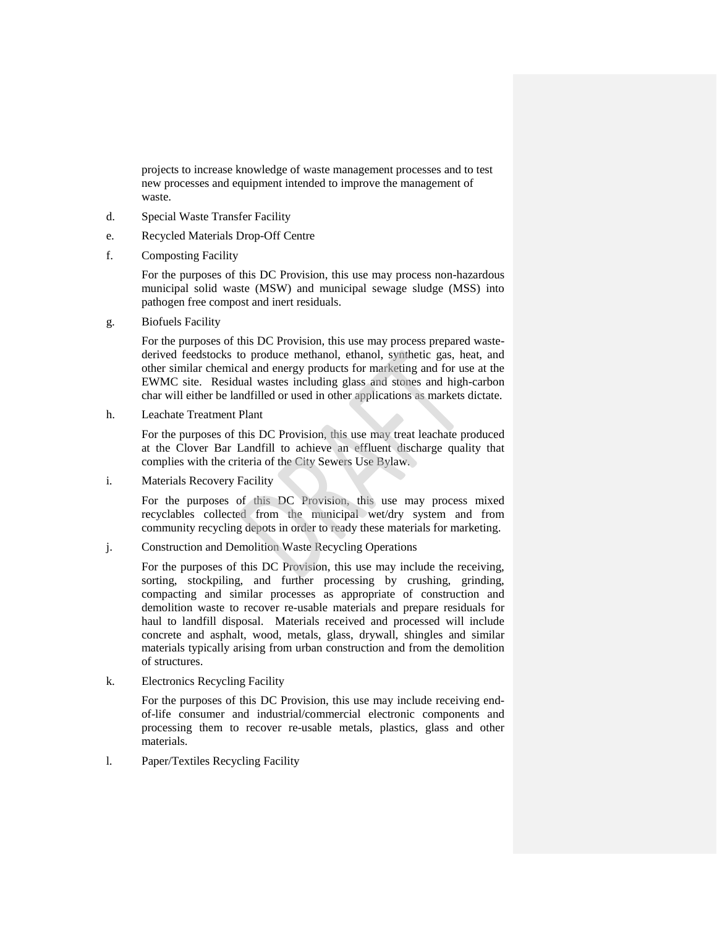projects to increase knowledge of waste management processes and to test new processes and equipment intended to improve the management of waste.

- d. Special Waste Transfer Facility
- e. Recycled Materials Drop-Off Centre
- f. Composting Facility

For the purposes of this DC Provision, this use may process non-hazardous municipal solid waste (MSW) and municipal sewage sludge (MSS) into pathogen free compost and inert residuals.

g. Biofuels Facility

For the purposes of this DC Provision, this use may process prepared wastederived feedstocks to produce methanol, ethanol, synthetic gas, heat, and other similar chemical and energy products for marketing and for use at the EWMC site. Residual wastes including glass and stones and high-carbon char will either be landfilled or used in other applications as markets dictate.

h. Leachate Treatment Plant

For the purposes of this DC Provision, this use may treat leachate produced at the Clover Bar Landfill to achieve an effluent discharge quality that complies with the criteria of the City Sewers Use Bylaw.

i. Materials Recovery Facility

For the purposes of this DC Provision, this use may process mixed recyclables collected from the municipal wet/dry system and from community recycling depots in order to ready these materials for marketing.

j. Construction and Demolition Waste Recycling Operations

For the purposes of this DC Provision, this use may include the receiving, sorting, stockpiling, and further processing by crushing, grinding, compacting and similar processes as appropriate of construction and demolition waste to recover re-usable materials and prepare residuals for haul to landfill disposal. Materials received and processed will include concrete and asphalt, wood, metals, glass, drywall, shingles and similar materials typically arising from urban construction and from the demolition of structures.

k. Electronics Recycling Facility

For the purposes of this DC Provision, this use may include receiving endof-life consumer and industrial/commercial electronic components and processing them to recover re-usable metals, plastics, glass and other materials.

l. Paper/Textiles Recycling Facility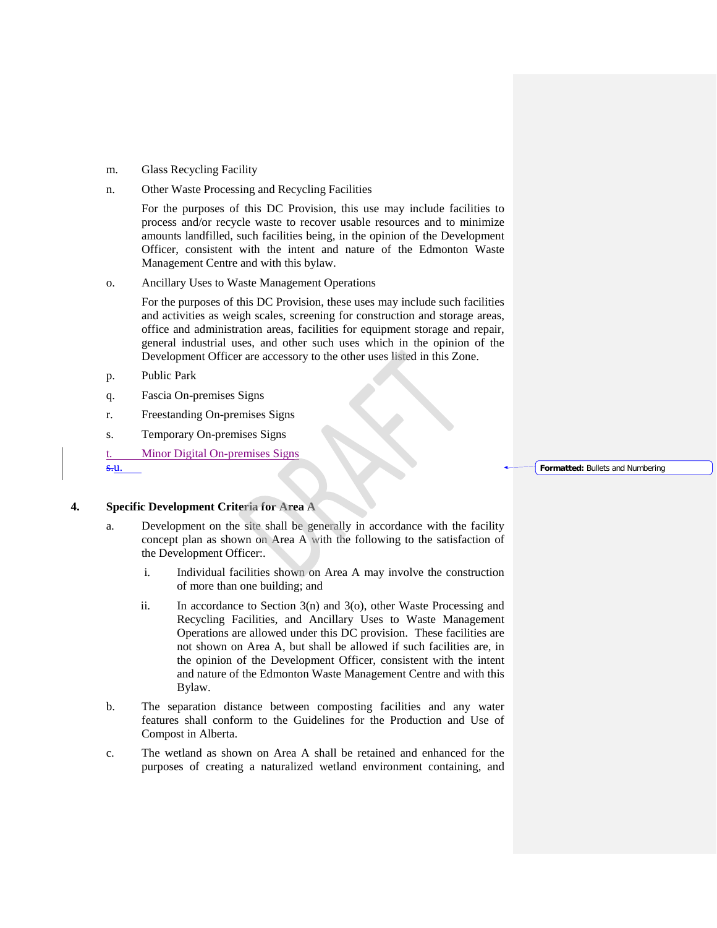- m. Glass Recycling Facility
- n. Other Waste Processing and Recycling Facilities

For the purposes of this DC Provision, this use may include facilities to process and/or recycle waste to recover usable resources and to minimize amounts landfilled, such facilities being, in the opinion of the Development Officer, consistent with the intent and nature of the Edmonton Waste Management Centre and with this bylaw.

o. Ancillary Uses to Waste Management Operations

For the purposes of this DC Provision, these uses may include such facilities and activities as weigh scales, screening for construction and storage areas, office and administration areas, facilities for equipment storage and repair, general industrial uses, and other such uses which in the opinion of the Development Officer are accessory to the other uses listed in this Zone.

- p. Public Park
- q. Fascia On-premises Signs
- r. Freestanding On-premises Signs
- s. Temporary On-premises Signs
- t. Minor Digital On-premises Signs

s.u.

# **4. Specific Development Criteria for Area A**

- a. Development on the site shall be generally in accordance with the facility concept plan as shown on Area A with the following to the satisfaction of the Development Officer:.
	- i. Individual facilities shown on Area A may involve the construction of more than one building; and
	- ii. In accordance to Section 3(n) and 3(o), other Waste Processing and Recycling Facilities, and Ancillary Uses to Waste Management Operations are allowed under this DC provision. These facilities are not shown on Area A, but shall be allowed if such facilities are, in the opinion of the Development Officer, consistent with the intent and nature of the Edmonton Waste Management Centre and with this Bylaw.
- b. The separation distance between composting facilities and any water features shall conform to the Guidelines for the Production and Use of Compost in Alberta.
- c. The wetland as shown on Area A shall be retained and enhanced for the purposes of creating a naturalized wetland environment containing, and

### **Formatted:** Bullets and Numbering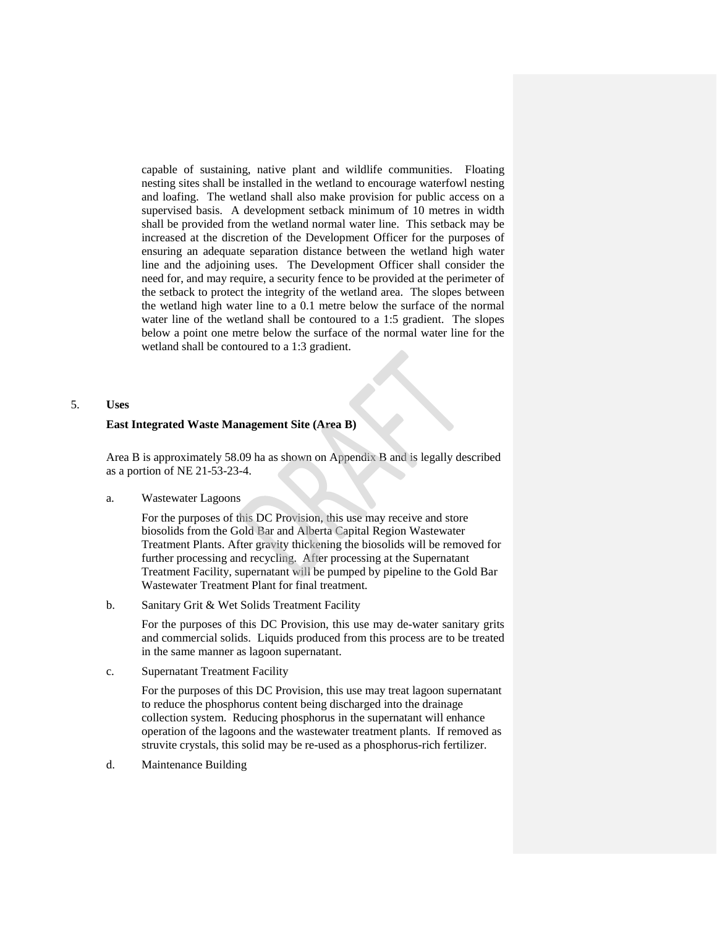capable of sustaining, native plant and wildlife communities. Floating nesting sites shall be installed in the wetland to encourage waterfowl nesting and loafing. The wetland shall also make provision for public access on a supervised basis. A development setback minimum of 10 metres in width shall be provided from the wetland normal water line. This setback may be increased at the discretion of the Development Officer for the purposes of ensuring an adequate separation distance between the wetland high water line and the adjoining uses. The Development Officer shall consider the need for, and may require, a security fence to be provided at the perimeter of the setback to protect the integrity of the wetland area. The slopes between the wetland high water line to a 0.1 metre below the surface of the normal water line of the wetland shall be contoured to a 1:5 gradient. The slopes below a point one metre below the surface of the normal water line for the wetland shall be contoured to a 1:3 gradient.

# 5. **Uses**

# **East Integrated Waste Management Site (Area B)**

Area B is approximately 58.09 ha as shown on Appendix B and is legally described as a portion of NE 21-53-23-4.

a. Wastewater Lagoons

For the purposes of this DC Provision, this use may receive and store biosolids from the Gold Bar and Alberta Capital Region Wastewater Treatment Plants. After gravity thickening the biosolids will be removed for further processing and recycling. After processing at the Supernatant Treatment Facility, supernatant will be pumped by pipeline to the Gold Bar Wastewater Treatment Plant for final treatment.

b. Sanitary Grit & Wet Solids Treatment Facility

For the purposes of this DC Provision, this use may de-water sanitary grits and commercial solids. Liquids produced from this process are to be treated in the same manner as lagoon supernatant.

c. Supernatant Treatment Facility

For the purposes of this DC Provision, this use may treat lagoon supernatant to reduce the phosphorus content being discharged into the drainage collection system. Reducing phosphorus in the supernatant will enhance operation of the lagoons and the wastewater treatment plants. If removed as struvite crystals, this solid may be re-used as a phosphorus-rich fertilizer.

d. Maintenance Building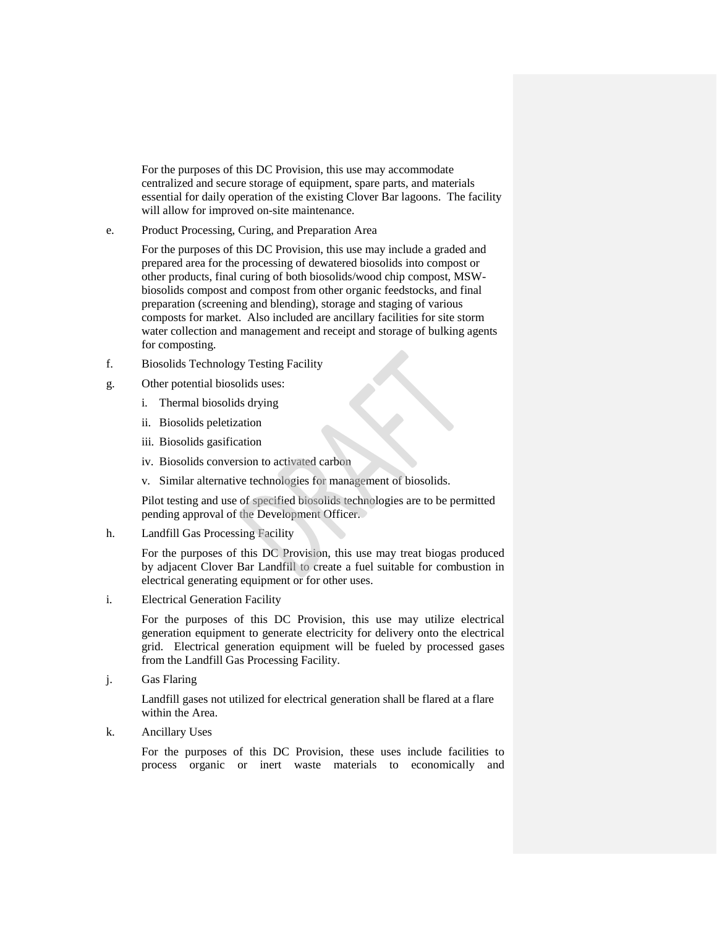For the purposes of this DC Provision, this use may accommodate centralized and secure storage of equipment, spare parts, and materials essential for daily operation of the existing Clover Bar lagoons. The facility will allow for improved on-site maintenance.

e. Product Processing, Curing, and Preparation Area

For the purposes of this DC Provision, this use may include a graded and prepared area for the processing of dewatered biosolids into compost or other products, final curing of both biosolids/wood chip compost, MSWbiosolids compost and compost from other organic feedstocks, and final preparation (screening and blending), storage and staging of various composts for market. Also included are ancillary facilities for site storm water collection and management and receipt and storage of bulking agents for composting.

- f. Biosolids Technology Testing Facility
- g. Other potential biosolids uses:
	- i. Thermal biosolids drying
	- ii. Biosolids peletization
	- iii. Biosolids gasification
	- iv. Biosolids conversion to activated carbon
	- v. Similar alternative technologies for management of biosolids.

Pilot testing and use of specified biosolids technologies are to be permitted pending approval of the Development Officer.

h. Landfill Gas Processing Facility

For the purposes of this DC Provision, this use may treat biogas produced by adjacent Clover Bar Landfill to create a fuel suitable for combustion in electrical generating equipment or for other uses.

i. Electrical Generation Facility

For the purposes of this DC Provision, this use may utilize electrical generation equipment to generate electricity for delivery onto the electrical grid. Electrical generation equipment will be fueled by processed gases from the Landfill Gas Processing Facility.

j. Gas Flaring

Landfill gases not utilized for electrical generation shall be flared at a flare within the Area.

k. Ancillary Uses

For the purposes of this DC Provision, these uses include facilities to process organic or inert waste materials to economically and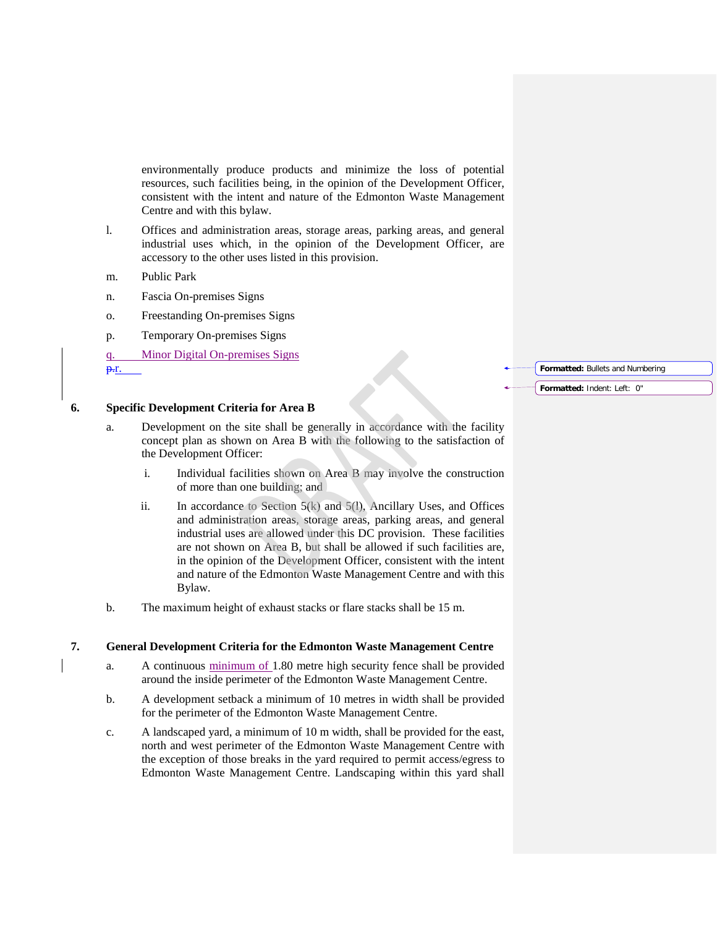environmentally produce products and minimize the loss of potential resources, such facilities being, in the opinion of the Development Officer, consistent with the intent and nature of the Edmonton Waste Management Centre and with this bylaw.

- l. Offices and administration areas, storage areas, parking areas, and general industrial uses which, in the opinion of the Development Officer, are accessory to the other uses listed in this provision.
- m. Public Park
- n. Fascia On-premises Signs
- o. Freestanding On-premises Signs
- p. Temporary On-premises Signs
- q. Minor Digital On-premises Signs p.r.

**6. Specific Development Criteria for Area B**

- a. Development on the site shall be generally in accordance with the facility concept plan as shown on Area B with the following to the satisfaction of the Development Officer:
	- i. Individual facilities shown on Area B may involve the construction of more than one building; and
	- ii. In accordance to Section  $5(k)$  and  $5(l)$ , Ancillary Uses, and Offices and administration areas, storage areas, parking areas, and general industrial uses are allowed under this DC provision. These facilities are not shown on Area B, but shall be allowed if such facilities are, in the opinion of the Development Officer, consistent with the intent and nature of the Edmonton Waste Management Centre and with this Bylaw.
- b. The maximum height of exhaust stacks or flare stacks shall be 15 m.

# **7. General Development Criteria for the Edmonton Waste Management Centre**

- a. A continuous minimum of 1.80 metre high security fence shall be provided around the inside perimeter of the Edmonton Waste Management Centre.
- b. A development setback a minimum of 10 metres in width shall be provided for the perimeter of the Edmonton Waste Management Centre.
- c. A landscaped yard, a minimum of 10 m width, shall be provided for the east, north and west perimeter of the Edmonton Waste Management Centre with the exception of those breaks in the yard required to permit access/egress to Edmonton Waste Management Centre. Landscaping within this yard shall

**Formatted:** Bullets and Numbering

**Formatted:** Indent: Left: 0"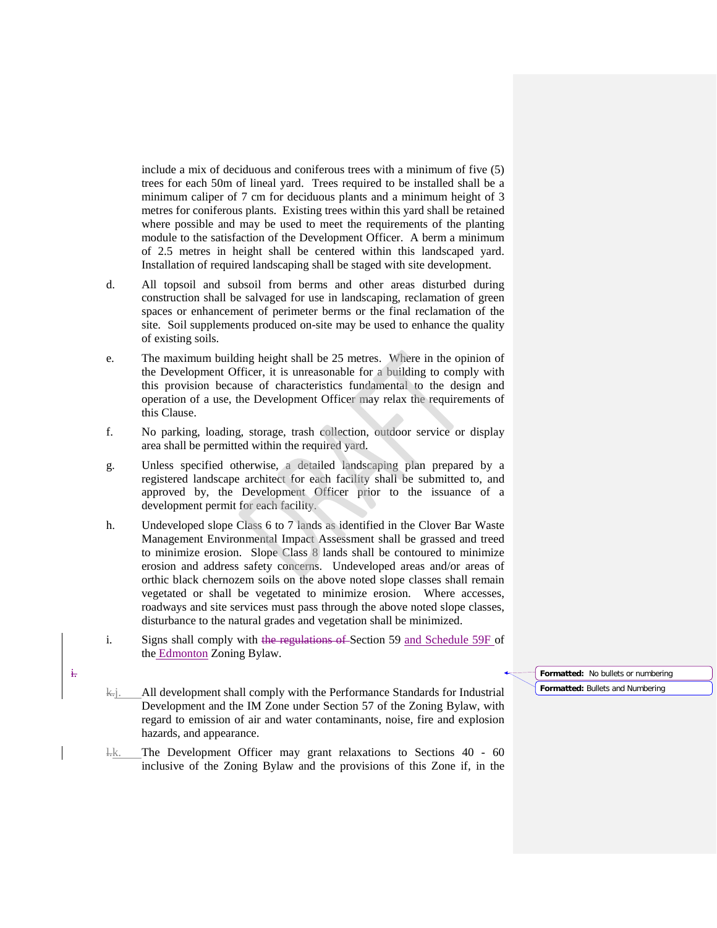include a mix of deciduous and coniferous trees with a minimum of five (5) trees for each 50m of lineal yard. Trees required to be installed shall be a minimum caliper of 7 cm for deciduous plants and a minimum height of 3 metres for coniferous plants. Existing trees within this yard shall be retained where possible and may be used to meet the requirements of the planting module to the satisfaction of the Development Officer. A berm a minimum of 2.5 metres in height shall be centered within this landscaped yard. Installation of required landscaping shall be staged with site development.

- d. All topsoil and subsoil from berms and other areas disturbed during construction shall be salvaged for use in landscaping, reclamation of green spaces or enhancement of perimeter berms or the final reclamation of the site. Soil supplements produced on-site may be used to enhance the quality of existing soils.
- e. The maximum building height shall be 25 metres. Where in the opinion of the Development Officer, it is unreasonable for a building to comply with this provision because of characteristics fundamental to the design and operation of a use, the Development Officer may relax the requirements of this Clause.
- f. No parking, loading, storage, trash collection, outdoor service or display area shall be permitted within the required yard.
- g. Unless specified otherwise, a detailed landscaping plan prepared by a registered landscape architect for each facility shall be submitted to, and approved by, the Development Officer prior to the issuance of a development permit for each facility.
- h. Undeveloped slope Class 6 to 7 lands as identified in the Clover Bar Waste Management Environmental Impact Assessment shall be grassed and treed to minimize erosion. Slope Class 8 lands shall be contoured to minimize erosion and address safety concerns. Undeveloped areas and/or areas of orthic black chernozem soils on the above noted slope classes shall remain vegetated or shall be vegetated to minimize erosion. Where accesses, roadways and site services must pass through the above noted slope classes, disturbance to the natural grades and vegetation shall be minimized.
- i. Signs shall comply with the regulations of Section 59 and Schedule 59F of the Edmonton Zoning Bylaw.

 $\left\langle \cdot \right\rangle$ . All development shall comply with the Performance Standards for Industrial Development and the IM Zone under Section 57 of the Zoning Bylaw, with regard to emission of air and water contaminants, noise, fire and explosion hazards, and appearance.

l.k. The Development Officer may grant relaxations to Sections 40 - 60 inclusive of the Zoning Bylaw and the provisions of this Zone if, in the **Formatted:** No bullets or numbering **Formatted:** Bullets and Numbering

i.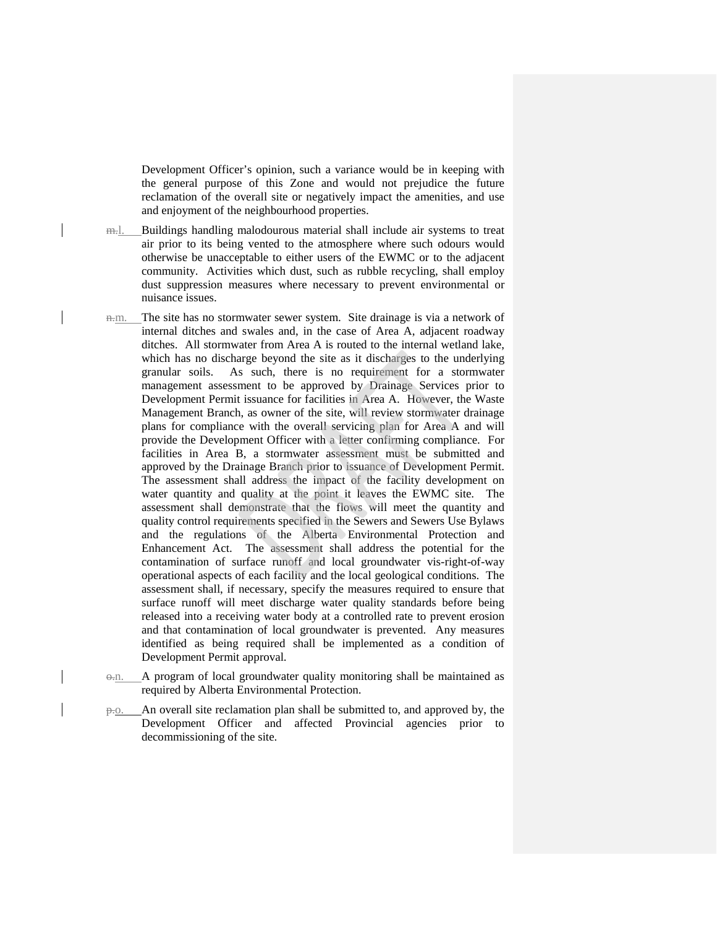Development Officer's opinion, such a variance would be in keeping with the general purpose of this Zone and would not prejudice the future reclamation of the overall site or negatively impact the amenities, and use and enjoyment of the neighbourhood properties.

- m... Buildings handling malodourous material shall include air systems to treat air prior to its being vented to the atmosphere where such odours would otherwise be unacceptable to either users of the EWMC or to the adjacent community. Activities which dust, such as rubble recycling, shall employ dust suppression measures where necessary to prevent environmental or nuisance issues.
- n.m. The site has no stormwater sewer system. Site drainage is via a network of internal ditches and swales and, in the case of Area A, adjacent roadway ditches. All stormwater from Area A is routed to the internal wetland lake, which has no discharge beyond the site as it discharges to the underlying granular soils. As such, there is no requirement for a stormwater management assessment to be approved by Drainage Services prior to Development Permit issuance for facilities in Area A. However, the Waste Management Branch, as owner of the site, will review stormwater drainage plans for compliance with the overall servicing plan for Area A and will provide the Development Officer with a letter confirming compliance. For facilities in Area B, a stormwater assessment must be submitted and approved by the Drainage Branch prior to issuance of Development Permit. The assessment shall address the impact of the facility development on water quantity and quality at the point it leaves the EWMC site. The assessment shall demonstrate that the flows will meet the quantity and quality control requirements specified in the Sewers and Sewers Use Bylaws and the regulations of the Alberta Environmental Protection and Enhancement Act. The assessment shall address the potential for the contamination of surface runoff and local groundwater vis-right-of-way operational aspects of each facility and the local geological conditions. The assessment shall, if necessary, specify the measures required to ensure that surface runoff will meet discharge water quality standards before being released into a receiving water body at a controlled rate to prevent erosion and that contamination of local groundwater is prevented. Any measures identified as being required shall be implemented as a condition of Development Permit approval.
- $\Theta$ .n. A program of local groundwater quality monitoring shall be maintained as required by Alberta Environmental Protection.
- p.o. An overall site reclamation plan shall be submitted to, and approved by, the Development Officer and affected Provincial agencies prior to decommissioning of the site.